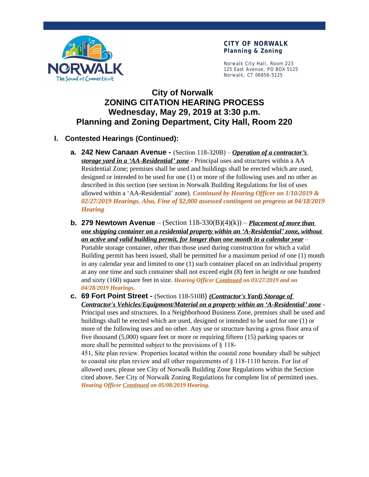

Norwalk City Hall, Room 223 125 East Avenue, PO BOX 5125 Norwalk, CT 06856-5125

# **City of Norwalk ZONING CITATION HEARING PROCESS Wednesday, May 29, 2019 at 3:30 p.m. Planning and Zoning Department, City Hall, Room 220**

### **I. Contested Hearings (Continued):**

- **a. 242 New Canaan Avenue -** (Section 118-320B) *Operation of a contractor's storage yard in a 'AA-Residential' zone* - Principal uses and structures within a AA Residential Zone; premises shall be used and buildings shall be erected which are used, designed or intended to be used for one (1) or more of the following uses and no other as described in this section (see section in Norwalk Building Regulations for list of uses allowed within a 'AA-Residential' zone). *Continued by Hearing Officer on 1/10/2019 & 02/27/2019 Hearings. Also, Fine of \$2,000 assessed contingent on progress at 04/18/2019 Hearing*
- **b. 279 Newtown Avenue** (Section  $118-330(B)(4)(k)$ ) *Placement of more than one shipping container on a residential property within an 'A-Residential' zone, without an active and valid building permit, for longer than one month in a calendar year* – Portable storage container, other than those used during construction for which a valid Building permit has been issued, shall be permitted for a maximum period of one (1) month in any calendar year and limited to one (1) such container placed on an individual property at any one time and such container shall not exceed eight (8) feet in height or one hundred and sixty (160) square feet in size. *Hearing Officer Continued on 03/27/2019 and on 04/28/2019 Hearings.*

**c. 69 Fort Point Street -** (Section 118-510B) *(Contractor's Yard) Storage of Contractor's Vehicles/Equipment/Material on a property within an 'A-Residential' zone* - Principal uses and structures. In a Neighborhood Business Zone, premises shall be used and buildings shall be erected which are used, designed or intended to be used for one (1) or more of the following uses and no other. Any use or structure having a gross floor area of five thousand (5,000) square feet or more or requiring fifteen (15) parking spaces or more shall be permitted subject to the provisions of § 118-

451, Site plan review. Properties located within the coastal zone boundary shall be subject to coastal site plan review and all other requirements of § 118-1110 herein. For list of allowed uses, please see City of Norwalk Building Zone Regulations within the Section cited above. See City of Norwalk Zoning Regulations for complete list of permitted uses. *Hearing Officer Continued on 05/08/2019 Hearing.*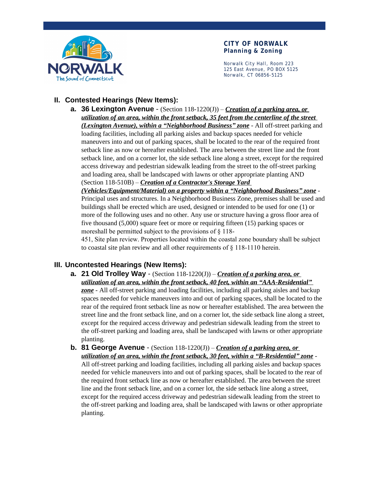

Norwalk City Hall, Room 223 125 East Avenue, PO BOX 5125 Norwalk, CT 06856-5125

### **II. Contested Hearings (New Items):**

**a. 36 Lexington Avenue** - (Section 118-1220(J)) – *Creation of a parking area, or utilization of an area, within the front setback, 35 feet from the centerline of the street (Lexington Avenue), within a "Neighborhood Business" zone* - All off-street parking and loading facilities, including all parking aisles and backup spaces needed for vehicle maneuvers into and out of parking spaces, shall be located to the rear of the required front setback line as now or hereafter established. The area between the street line and the front setback line, and on a corner lot, the side setback line along a street, except for the required access driveway and pedestrian sidewalk leading from the street to the off-street parking and loading area, shall be landscaped with lawns or other appropriate planting AND (Section 118-510B) – *Creation of a Contractor's Storage Yard* 

*(Vehicles/Equipment/Material) on a property within a "Neighborhood Business" zone* - Principal uses and structures. In a Neighborhood Business Zone, premises shall be used and buildings shall be erected which are used, designed or intended to be used for one (1) or more of the following uses and no other. Any use or structure having a gross floor area of five thousand (5,000) square feet or more or requiring fifteen (15) parking spaces or moreshall be permitted subject to the provisions of § 118-

451, Site plan review. Properties located within the coastal zone boundary shall be subject to coastal site plan review and all other requirements of § 118-1110 herein.

### **III. Uncontested Hearings (New Items):**

- **a. 21 Old Trolley Way**  (Section 118-1220(J)) *Creation of a parking area, or utilization of an area, within the front setback, 40 feet, within an "AAA-Residential" zone* - All off-street parking and loading facilities, including all parking aisles and backup spaces needed for vehicle maneuvers into and out of parking spaces, shall be located to the rear of the required front setback line as now or hereafter established. The area between the street line and the front setback line, and on a corner lot, the side setback line along a street, except for the required access driveway and pedestrian sidewalk leading from the street to the off-street parking and loading area, shall be landscaped with lawns or other appropriate planting.
- **b. 81 George Avenue**  (Section 118-1220(J)) *Creation of a parking area, or utilization of an area, within the front setback, 30 feet, within a "B-Residential" zone* - All off-street parking and loading facilities, including all parking aisles and backup spaces needed for vehicle maneuvers into and out of parking spaces, shall be located to the rear of the required front setback line as now or hereafter established. The area between the street line and the front setback line, and on a corner lot, the side setback line along a street, except for the required access driveway and pedestrian sidewalk leading from the street to the off-street parking and loading area, shall be landscaped with lawns or other appropriate planting.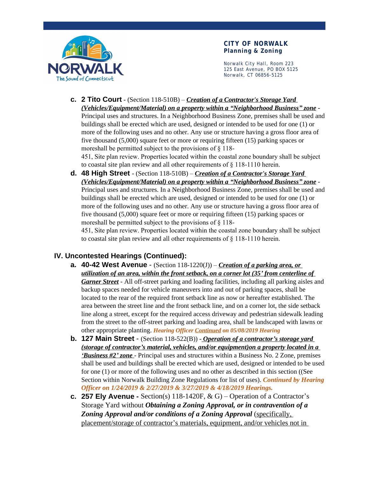

Norwalk City Hall, Room 223 125 East Avenue, PO BOX 5125 Norwalk, CT 06856-5125

- **c. 2 Tito Court** (Section 118-510B) *Creation of a Contractor's Storage Yard (Vehicles/Equipment/Material) on a property within a "Neighborhood Business" zone* - Principal uses and structures. In a Neighborhood Business Zone, premises shall be used and buildings shall be erected which are used, designed or intended to be used for one (1) or more of the following uses and no other. Any use or structure having a gross floor area of five thousand (5,000) square feet or more or requiring fifteen (15) parking spaces or moreshall be permitted subject to the provisions of § 118- 451, Site plan review. Properties located within the coastal zone boundary shall be subject
- to coastal site plan review and all other requirements of § 118-1110 herein. **d. 48 High Street** - (Section 118-510B) – *Creation of a Contractor's Storage Yard (Vehicles/Equipment/Material) on a property within a "Neighborhood Business" zone* - Principal uses and structures. In a Neighborhood Business Zone, premises shall be used and buildings shall be erected which are used, designed or intended to be used for one (1) or more of the following uses and no other. Any use or structure having a gross floor area of five thousand (5,000) square feet or more or requiring fifteen (15) parking spaces or moreshall be permitted subject to the provisions of § 118-

451, Site plan review. Properties located within the coastal zone boundary shall be subject to coastal site plan review and all other requirements of § 118-1110 herein.

## **IV. Uncontested Hearings (Continued):**

- **a. 40-42 West Avenue**  (Section 118-1220(J)) *Creation of a parking area, or utilization of an area, within the front setback, on a corner lot (35' from centerline of Garner Street* - All off-street parking and loading facilities, including all parking aisles and backup spaces needed for vehicle maneuvers into and out of parking spaces, shall be located to the rear of the required front setback line as now or hereafter established. The area between the street line and the front setback line, and on a corner lot, the side setback line along a street, except for the required access driveway and pedestrian sidewalk leading from the street to the off-street parking and loading area, shall be landscaped with lawns or other appropriate planting. *Hearing Officer Continued on 05/08/2019 Hearing*
- **b. 127 Main Street**  (Section 118-522(B)) *Operation of a contractor's storage yard (storage of contractor's material, vehicles, and/or equipment)on a property located in a 'Business #2' zone* - Principal uses and structures within a Business No. 2 Zone, premises shall be used and buildings shall be erected which are used, designed or intended to be used for one (1) or more of the following uses and no other as described in this section ((See Section within Norwalk Building Zone Regulations for list of uses). *Continued by Hearing Officer on 1/24/2019 & 2/27/2019 & 3/27/2019 & 4/18/2019 Hearings.*
- **c. 257 Ely Avenue -**  $Section(s)$  118-1420F,  $\&$  G) Operation of a Contractor's Storage Yard without *Obtaining a Zoning Approval, or in contravention of a Zoning Approval and/or conditions of a Zoning Approval* (specifically, placement/storage of contractor's materials, equipment, and/or vehicles not in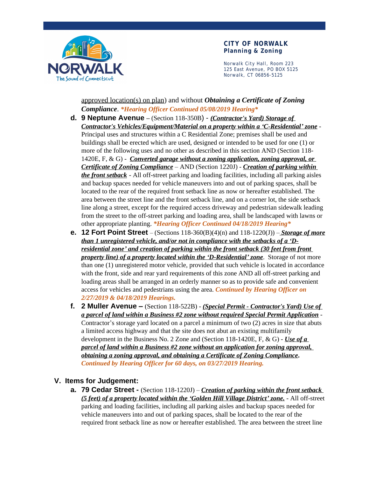

Norwalk City Hall, Room 223 125 East Avenue, PO BOX 5125 Norwalk, CT 06856-5125

approved location(s) on plan) and without *Obtaining a Certificate of Zoning Compliance*. *\*Hearing Officer Continued 05/08/2019 Hearing\**

- **d. 9 Neptune Avenue –** (Section 118-350B) *(Contractor's Yard) Storage of Contractor's Vehicles/Equipment/Material on a property within a 'C-Residential' zone* - Principal uses and structures within a C Residential Zone; premises shall be used and buildings shall be erected which are used, designed or intended to be used for one (1) or more of the following uses and no other as described in this section AND (Section 118- 1420E, F, & G) - *Converted garage without a zoning application, zoning approval, or Certificate of Zoning Compliance* – AND (Section 1220J) - *Creation of parking within the front setback* - All off-street parking and loading facilities, including all parking aisles and backup spaces needed for vehicle maneuvers into and out of parking spaces, shall be located to the rear of the required front setback line as now or hereafter established. The area between the street line and the front setback line, and on a corner lot, the side setback line along a street, except for the required access driveway and pedestrian sidewalk leading from the street to the off-street parking and loading area, shall be landscaped with lawns or other appropriate planting. *\*Hearing Officer Continued 04/18/2019 Hearing\**
- **e. 12 Fort Point Street**  (Sections 118-360(B)(4)(n) and 118-1220(J)) – *Storage of more than 1 unregistered vehicle, and/or not in compliance with the setbacks of a 'Dresidential zone' and creation of parking within the front setback (30 feet from front property line) of a property located within the 'D-Residential' zone*. Storage of not more than one (1) unregistered motor vehicle, provided that such vehicle is located in accordance with the front, side and rear yard requirements of this zone AND all off-street parking and loading areas shall be arranged in an orderly manner so as to provide safe and convenient access for vehicles and pedestrians using the area. *Continued by Hearing Officer on 2/27/2019 & 04/18/2019 Hearings.*
- **f. 2 Muller Avenue –** (Section 118-522B) *(Special Permit Contractor's Yard) Use of a parcel of land within a Business #2 zone without required Special Permit Application* - Contractor's storage yard located on a parcel a minimum of two (2) acres in size that abuts a limited access highway and that the site does not abut an existing multifamily development in the Business No. 2 Zone and (Section 118-1420E, F, & G) - *Use of a parcel of land within a Business #2 zone without an application for zoning approval, obtaining a zoning approval, and obtaining a Certificate of Zoning Compliance***.**  *Continued by Hearing Officer for 60 days, on 03/27/2019 Hearing.*

### **V. Items for Judgement:**

**a. 79 Cedar Street -** (Section 118-1220J) – *Creation of parking within the front setback (5 feet) of a property located within the 'Golden Hill Village District' zone.* - All off-street parking and loading facilities, including all parking aisles and backup spaces needed for vehicle maneuvers into and out of parking spaces, shall be located to the rear of the required front setback line as now or hereafter established. The area between the street line